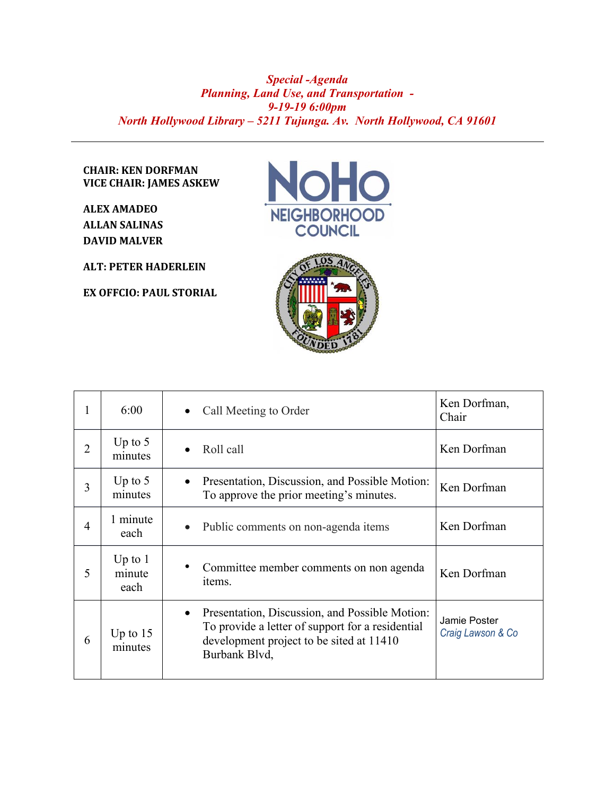## *Special -Agenda Planning, Land Use, and Transportation - 9-19-19 6:00pm North Hollywood Library – 5211 Tujunga. Av. North Hollywood, CA 91601*

## **CHAIR: KEN DORFMAN VICE CHAIR: JAMES ASKEW**

**ALEX AMADEO ALLAN SALINAS DAVID MALVER**

**ALT: PETER HADERLEIN**

**EX OFFCIO: PAUL STORIAL**





| 1              | 6:00                        | Call Meeting to Order<br>$\bullet$                                                                                                                                           | Ken Dorfman,<br>Chair             |
|----------------|-----------------------------|------------------------------------------------------------------------------------------------------------------------------------------------------------------------------|-----------------------------------|
| $\overline{2}$ | Up to $5$<br>minutes        | Roll call<br>$\bullet$                                                                                                                                                       | Ken Dorfman                       |
| 3              | Up to $5$<br>minutes        | Presentation, Discussion, and Possible Motion:<br>$\bullet$<br>To approve the prior meeting's minutes.                                                                       | Ken Dorfman                       |
| $\overline{4}$ | 1 minute<br>each            | Public comments on non-agenda items<br>$\bullet$                                                                                                                             | Ken Dorfman                       |
| 5              | Up to $1$<br>minute<br>each | Committee member comments on non agenda<br>items.                                                                                                                            | Ken Dorfman                       |
| 6              | Up to $15$<br>minutes       | Presentation, Discussion, and Possible Motion:<br>$\bullet$<br>To provide a letter of support for a residential<br>development project to be sited at 11410<br>Burbank Blvd, | Jamie Poster<br>Craig Lawson & Co |